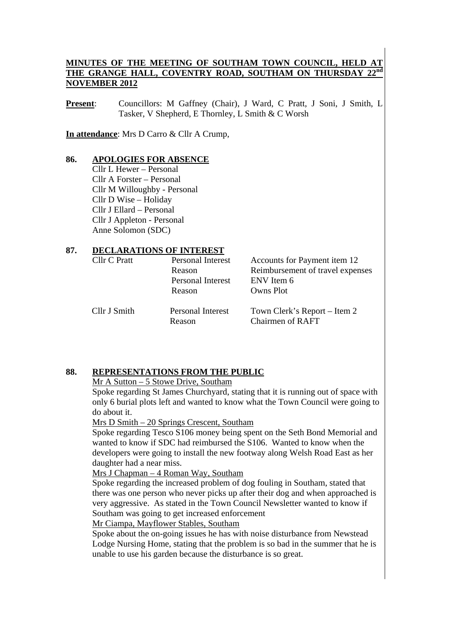# **MINUTES OF THE MEETING OF SOUTHAM TOWN COUNCIL, HELD AT**  THE GRANGE HALL, COVENTRY ROAD, SOUTHAM ON THURSDAY **NOVEMBER 2012**

**Present:** Councillors: M Gaffney (Chair), J Ward, C Pratt, J Soni, J Smith, L Tasker, V Shepherd, E Thornley, L Smith & C Worsh

**In attendance**: Mrs D Carro & Cllr A Crump,

#### **86. APOLOGIES FOR ABSENCE**

Cllr L Hewer – Personal Cllr A Forster – Personal Cllr M Willoughby - Personal Cllr D Wise – Holiday Cllr J Ellard – Personal Cllr J Appleton - Personal Anne Solomon (SDC)

#### **87. DECLARATIONS OF INTEREST**

| Cllr C Pratt | Personal Interest           | Accounts for Payment item 12                            |  |  |
|--------------|-----------------------------|---------------------------------------------------------|--|--|
|              | Reason                      | Reimbursement of travel expenses                        |  |  |
|              | Personal Interest           | ENV Item 6                                              |  |  |
|              | Reason                      | Owns Plot                                               |  |  |
| Cllr J Smith | Personal Interest<br>Reason | Town Clerk's Report – Item 2<br><b>Chairmen of RAFT</b> |  |  |

#### **88. REPRESENTATIONS FROM THE PUBLIC**

#### Mr A Sutton – 5 Stowe Drive, Southam

Spoke regarding St James Churchyard, stating that it is running out of space with only 6 burial plots left and wanted to know what the Town Council were going to do about it.

Mrs D Smith – 20 Springs Crescent, Southam

Spoke regarding Tesco S106 money being spent on the Seth Bond Memorial and wanted to know if SDC had reimbursed the S106. Wanted to know when the developers were going to install the new footway along Welsh Road East as her daughter had a near miss.

Mrs J Chapman – 4 Roman Way, Southam

Spoke regarding the increased problem of dog fouling in Southam, stated that there was one person who never picks up after their dog and when approached is very aggressive. As stated in the Town Council Newsletter wanted to know if Southam was going to get increased enforcement

Mr Ciampa, Mayflower Stables, Southam

Spoke about the on-going issues he has with noise disturbance from Newstead Lodge Nursing Home, stating that the problem is so bad in the summer that he is unable to use his garden because the disturbance is so great.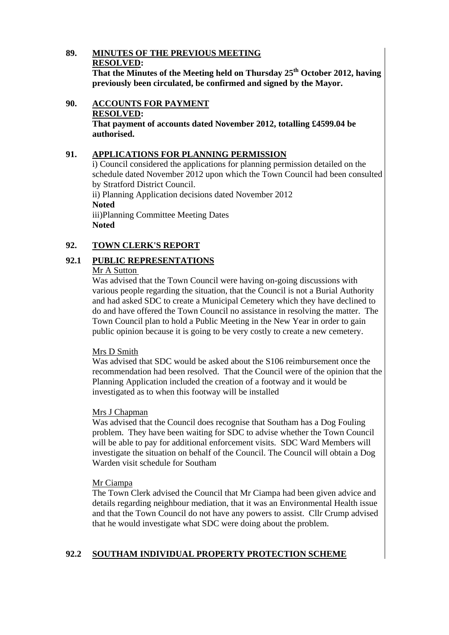#### **89. MINUTES OF THE PREVIOUS MEETING RESOLVED: That the Minutes of the Meeting held on Thursday 25th October 2012, having previously been circulated, be confirmed and signed by the Mayor.**

**90. ACCOUNTS FOR PAYMENT RESOLVED: That payment of accounts dated November 2012, totalling £4599.04 be** 

#### **91. APPLICATIONS FOR PLANNING PERMISSION**

i) Council considered the applications for planning permission detailed on the schedule dated November 2012 upon which the Town Council had been consulted by Stratford District Council.

ii) Planning Application decisions dated November 2012 **Noted**  iii)Planning Committee Meeting Dates **Noted** 

# **92. TOWN CLERK'S REPORT**

# **92.1 PUBLIC REPRESENTATIONS**

#### Mr A Sutton

**authorised.** 

Was advised that the Town Council were having on-going discussions with various people regarding the situation, that the Council is not a Burial Authority and had asked SDC to create a Municipal Cemetery which they have declined to do and have offered the Town Council no assistance in resolving the matter. The Town Council plan to hold a Public Meeting in the New Year in order to gain public opinion because it is going to be very costly to create a new cemetery.

#### Mrs D Smith

Was advised that SDC would be asked about the S106 reimbursement once the recommendation had been resolved. That the Council were of the opinion that the Planning Application included the creation of a footway and it would be investigated as to when this footway will be installed

#### Mrs J Chapman

Was advised that the Council does recognise that Southam has a Dog Fouling problem. They have been waiting for SDC to advise whether the Town Council will be able to pay for additional enforcement visits. SDC Ward Members will investigate the situation on behalf of the Council. The Council will obtain a Dog Warden visit schedule for Southam

#### Mr Ciampa

The Town Clerk advised the Council that Mr Ciampa had been given advice and details regarding neighbour mediation, that it was an Environmental Health issue and that the Town Council do not have any powers to assist. Cllr Crump advised that he would investigate what SDC were doing about the problem.

# **92.2 SOUTHAM INDIVIDUAL PROPERTY PROTECTION SCHEME**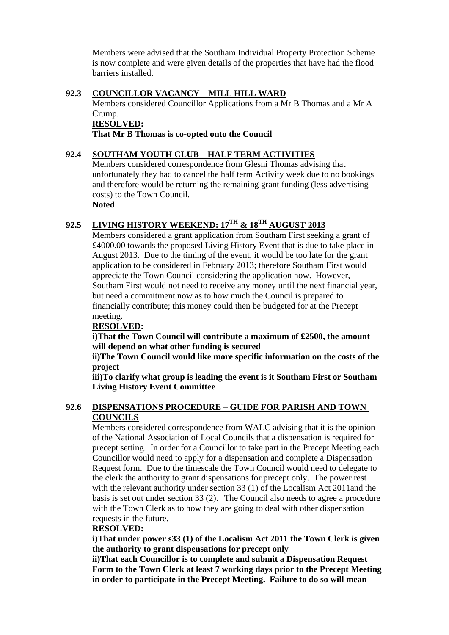Members were advised that the Southam Individual Property Protection Scheme is now complete and were given details of the properties that have had the flood barriers installed.

# **92.3 COUNCILLOR VACANCY – MILL HILL WARD**

Members considered Councillor Applications from a Mr B Thomas and a Mr A Crump.

**RESOLVED:** 

**That Mr B Thomas is co-opted onto the Council** 

# **92.4 SOUTHAM YOUTH CLUB – HALF TERM ACTIVITIES**

Members considered correspondence from Glesni Thomas advising that unfortunately they had to cancel the half term Activity week due to no bookings and therefore would be returning the remaining grant funding (less advertising costs) to the Town Council.

**Noted** 

# **92.5 LIVING HISTORY WEEKEND: 17TH & 18TH AUGUST 2013**

Members considered a grant application from Southam First seeking a grant of £4000.00 towards the proposed Living History Event that is due to take place in August 2013. Due to the timing of the event, it would be too late for the grant application to be considered in February 2013; therefore Southam First would appreciate the Town Council considering the application now. However, Southam First would not need to receive any money until the next financial year, but need a commitment now as to how much the Council is prepared to financially contribute; this money could then be budgeted for at the Precept meeting.

# **RESOLVED:**

**i)That the Town Council will contribute a maximum of £2500, the amount will depend on what other funding is secured** 

**ii)The Town Council would like more specific information on the costs of the project** 

**iii)To clarify what group is leading the event is it Southam First or Southam Living History Event Committee** 

#### **92.6 DISPENSATIONS PROCEDURE – GUIDE FOR PARISH AND TOWN COUNCILS**

Members considered correspondence from WALC advising that it is the opinion of the National Association of Local Councils that a dispensation is required for precept setting. In order for a Councillor to take part in the Precept Meeting each Councillor would need to apply for a dispensation and complete a Dispensation Request form. Due to the timescale the Town Council would need to delegate to the clerk the authority to grant dispensations for precept only. The power rest with the relevant authority under section 33 (1) of the Localism Act 2011and the basis is set out under section 33 (2). The Council also needs to agree a procedure with the Town Clerk as to how they are going to deal with other dispensation requests in the future.

# **RESOLVED:**

**i)That under power s33 (1) of the Localism Act 2011 the Town Clerk is given the authority to grant dispensations for precept only** 

**ii)That each Councillor is to complete and submit a Dispensation Request Form to the Town Clerk at least 7 working days prior to the Precept Meeting in order to participate in the Precept Meeting. Failure to do so will mean**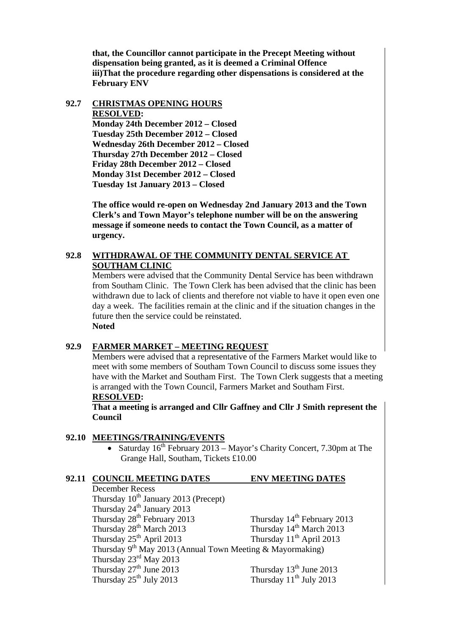**that, the Councillor cannot participate in the Precept Meeting without dispensation being granted, as it is deemed a Criminal Offence iii)That the procedure regarding other dispensations is considered at the February ENV** 

# **92.7 CHRISTMAS OPENING HOURS RESOLVED: Monday 24th December 2012 – Closed Tuesday 25th December 2012 – Closed**

**Wednesday 26th December 2012 – Closed Thursday 27th December 2012 – Closed Friday 28th December 2012 – Closed Monday 31st December 2012 – Closed Tuesday 1st January 2013 – Closed** 

**The office would re-open on Wednesday 2nd January 2013 and the Town Clerk's and Town Mayor's telephone number will be on the answering message if someone needs to contact the Town Council, as a matter of urgency.** 

# **92.8 WITHDRAWAL OF THE COMMUNITY DENTAL SERVICE AT SOUTHAM CLINIC**

Members were advised that the Community Dental Service has been withdrawn from Southam Clinic. The Town Clerk has been advised that the clinic has been withdrawn due to lack of clients and therefore not viable to have it open even one day a week. The facilities remain at the clinic and if the situation changes in the future then the service could be reinstated. **Noted** 

# **92.9 FARMER MARKET – MEETING REQUEST**

Members were advised that a representative of the Farmers Market would like to meet with some members of Southam Town Council to discuss some issues they have with the Market and Southam First. The Town Clerk suggests that a meeting is arranged with the Town Council, Farmers Market and Southam First. **RESOLVED:** 

**That a meeting is arranged and Cllr Gaffney and Cllr J Smith represent the Council** 

# **92.10 MEETINGS/TRAINING/EVENTS**

• Saturday  $16^{th}$  February 2013 – Mayor's Charity Concert, 7.30pm at The Grange Hall, Southam, Tickets £10.00

# **92.11 COUNCIL MEETING DATES ENV MEETING DATES**

 December Recess Thursday  $10^{th}$  January 2013 (Precept) Thursday  $24^{\text{th}}$  January 2013<br>Thursday  $28^{\text{th}}$  February 2013 Thursday  $14<sup>th</sup>$  February 2013<br>Thursday  $14<sup>th</sup>$  March 2013 Thursday  $28^{th}$  March 2013<br>Thursday  $25^{th}$  April 2013<br>Thursday  $11^{th}$  April 2013<br>Thursday  $11^{th}$  April 2013 Thursday  $25<sup>th</sup>$  April 2013 Thursday  $9^{th}$  May 2013 (Annual Town Meeting & Mayormaking) Thursday  $23^{\text{rd}}$  May 2013<br>Thursday  $27^{\text{th}}$  June 2013 Thursday  $13<sup>th</sup>$  June 2013<br>Thursday  $11<sup>th</sup>$  July 2013 Thursday  $25<sup>th</sup>$  July 2013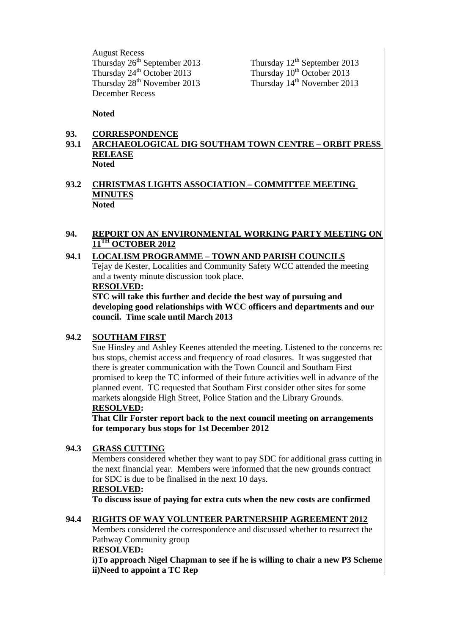August Recess Thursday  $26<sup>th</sup>$  September 2013 Thursday  $12<sup>th</sup>$  September 2013 Thursday  $24^{th}$  October 2013 Thursday  $10^{th}$  October 2013 Thursday 29th October 2013<br>
Thursday  $28^{th}$  November 2013<br>
Thursday  $10^{th}$  October 2013<br>
Thursday  $14^{th}$  November 2013 December Recess

**Noted** 

#### **93. CORRESPONDENCE**

#### **93.1 ARCHAEOLOGICAL DIG SOUTHAM TOWN CENTRE – ORBIT PRESS RELEASE Noted**

# **93.2 CHRISTMAS LIGHTS ASSOCIATION – COMMITTEE MEETING MINUTES Noted**

# **94. REPORT ON AN ENVIRONMENTAL WORKING PARTY MEETING ON 11TH OCTOBER 2012**

# **94.1 LOCALISM PROGRAMME – TOWN AND PARISH COUNCILS**

Tejay de Kester, Localities and Community Safety WCC attended the meeting and a twenty minute discussion took place.

#### **RESOLVED:**

**STC will take this further and decide the best way of pursuing and developing good relationships with WCC officers and departments and our council. Time scale until March 2013** 

#### **94.2 SOUTHAM FIRST**

Sue Hinsley and Ashley Keenes attended the meeting. Listened to the concerns re: bus stops, chemist access and frequency of road closures. It was suggested that there is greater communication with the Town Council and Southam First promised to keep the TC informed of their future activities well in advance of the planned event. TC requested that Southam First consider other sites for some markets alongside High Street, Police Station and the Library Grounds. **RESOLVED:** 

**That Cllr Forster report back to the next council meeting on arrangements for temporary bus stops for 1st December 2012** 

#### **94.3 GRASS CUTTING**

Members considered whether they want to pay SDC for additional grass cutting in the next financial year. Members were informed that the new grounds contract for SDC is due to be finalised in the next 10 days.

#### **RESOLVED:**

**To discuss issue of paying for extra cuts when the new costs are confirmed** 

#### **94.4 RIGHTS OF WAY VOLUNTEER PARTNERSHIP AGREEMENT 2012**

Members considered the correspondence and discussed whether to resurrect the Pathway Community group

# **RESOLVED:**

**i)To approach Nigel Chapman to see if he is willing to chair a new P3 Scheme ii)Need to appoint a TC Rep**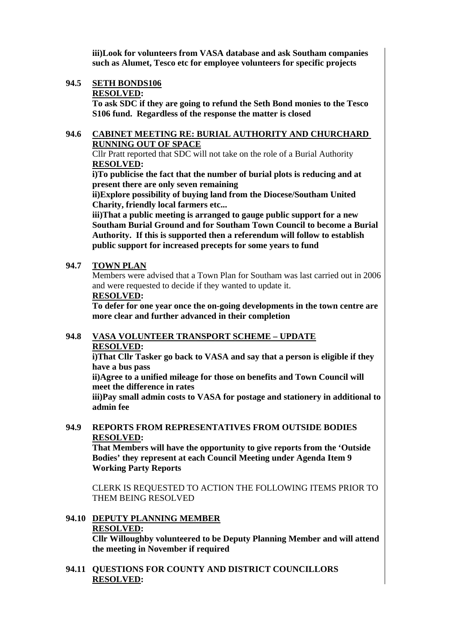**iii)Look for volunteers from VASA database and ask Southam companies such as Alumet, Tesco etc for employee volunteers for specific projects**

#### **94.5 SETH BONDS106**

#### **RESOLVED:**

**To ask SDC if they are going to refund the Seth Bond monies to the Tesco S106 fund. Regardless of the response the matter is closed** 

#### **94.6 CABINET MEETING RE: BURIAL AUTHORITY AND CHURCHARD RUNNING OUT OF SPACE**

Cllr Pratt reported that SDC will not take on the role of a Burial Authority **RESOLVED:** 

**i)To publicise the fact that the number of burial plots is reducing and at present there are only seven remaining** 

**ii)Explore possibility of buying land from the Diocese/Southam United Charity, friendly local farmers etc...** 

**iii)That a public meeting is arranged to gauge public support for a new Southam Burial Ground and for Southam Town Council to become a Burial Authority. If this is supported then a referendum will follow to establish public support for increased precepts for some years to fund** 

#### **94.7 TOWN PLAN**

Members were advised that a Town Plan for Southam was last carried out in 2006 and were requested to decide if they wanted to update it.

#### **RESOLVED:**

**To defer for one year once the on-going developments in the town centre are more clear and further advanced in their completion** 

# **94.8 VASA VOLUNTEER TRANSPORT SCHEME – UPDATE RESOLVED:**

**i)That Cllr Tasker go back to VASA and say that a person is eligible if they have a bus pass** 

**ii)Agree to a unified mileage for those on benefits and Town Council will meet the difference in rates** 

**iii)Pay small admin costs to VASA for postage and stationery in additional to admin fee** 

# **94.9 REPORTS FROM REPRESENTATIVES FROM OUTSIDE BODIES RESOLVED:**

**That Members will have the opportunity to give reports from the 'Outside Bodies' they represent at each Council Meeting under Agenda Item 9 Working Party Reports** 

CLERK IS REQUESTED TO ACTION THE FOLLOWING ITEMS PRIOR TO THEM BEING RESOLVED

# **94.10 DEPUTY PLANNING MEMBER**

# **RESOLVED:**

**Cllr Willoughby volunteered to be Deputy Planning Member and will attend the meeting in November if required** 

#### **94.11 QUESTIONS FOR COUNTY AND DISTRICT COUNCILLORS RESOLVED:**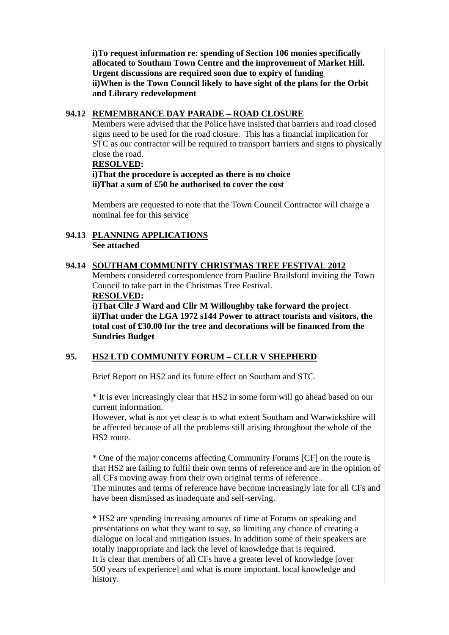**i)To request information re: spending of Section 106 monies specifically allocated to Southam Town Centre and the improvement of Market Hill. Urgent discussions are required soon due to expiry of funding ii)When is the Town Council likely to have sight of the plans for the Orbit and Library redevelopment** 

# **94.12 REMEMBRANCE DAY PARADE – ROAD CLOSURE**

Members were advised that the Police have insisted that barriers and road closed signs need to be used for the road closure. This has a financial implication for STC as our contractor will be required to transport barriers and signs to physically close the road.

#### **RESOLVED:**

**i)That the procedure is accepted as there is no choice ii)That a sum of £50 be authorised to cover the cost** 

Members are requested to note that the Town Council Contractor will charge a nominal fee for this service

# **94.13 PLANNING APPLICATIONS See attached**

# **94.14 SOUTHAM COMMUNITY CHRISTMAS TREE FESTIVAL 2012**

Members considered correspondence from Pauline Brailsford inviting the Town Council to take part in the Christmas Tree Festival. **RESOLVED:** 

**i)That Cllr J Ward and Cllr M Willoughby take forward the project ii)That under the LGA 1972 s144 Power to attract tourists and visitors, the total cost of £30.00 for the tree and decorations will be financed from the Sundries Budget** 

# **95. HS2 LTD COMMUNITY FORUM – CLLR V SHEPHERD**

Brief Report on HS2 and its future effect on Southam and STC.

\* It is ever increasingly clear that HS2 in some form will go ahead based on our current information.

However, what is not yet clear is to what extent Southam and Warwickshire will be affected because of all the problems still arising throughout the whole of the HS2 route.

\* One of the major concerns affecting Community Forums [CF] on the route is that HS2 are failing to fulfil their own terms of reference and are in the opinion of all CFs moving away from their own original terms of reference.. The minutes and terms of reference have become increasingly late for all CFs and

have been dismissed as inadequate and self-serving.

\* HS2 are spending increasing amounts of time at Forums on speaking and presentations on what they want to say, so limiting any chance of creating a dialogue on local and mitigation issues. In addition some of their speakers are totally inappropriate and lack the level of knowledge that is required. It is clear that members of all CFs have a greater level of knowledge [over 500 years of experience] and what is more important, local knowledge and history.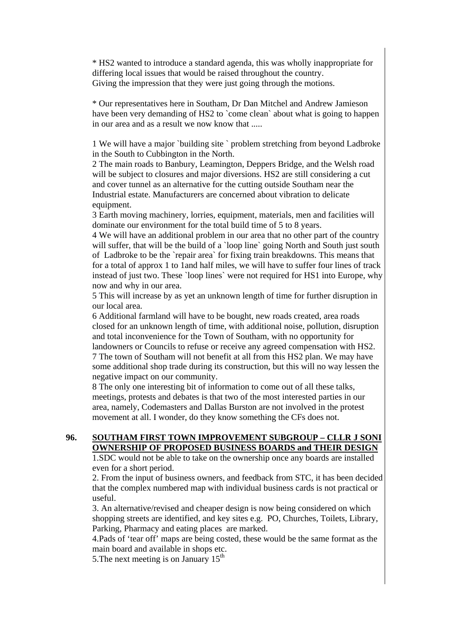\* HS2 wanted to introduce a standard agenda, this was wholly inappropriate for differing local issues that would be raised throughout the country. Giving the impression that they were just going through the motions.

\* Our representatives here in Southam, Dr Dan Mitchel and Andrew Jamieson have been very demanding of HS2 to `come clean` about what is going to happen in our area and as a result we now know that .....

1 We will have a major `building site ` problem stretching from beyond Ladbroke in the South to Cubbington in the North.

2 The main roads to Banbury, Leamington, Deppers Bridge, and the Welsh road will be subject to closures and major diversions. HS2 are still considering a cut and cover tunnel as an alternative for the cutting outside Southam near the Industrial estate. Manufacturers are concerned about vibration to delicate equipment.

3 Earth moving machinery, lorries, equipment, materials, men and facilities will dominate our environment for the total build time of 5 to 8 years.

4 We will have an additional problem in our area that no other part of the country will suffer, that will be the build of a `loop line` going North and South just south of Ladbroke to be the `repair area` for fixing train breakdowns. This means that for a total of approx 1 to 1and half miles, we will have to suffer four lines of track instead of just two. These `loop lines` were not required for HS1 into Europe, why now and why in our area.

5 This will increase by as yet an unknown length of time for further disruption in our local area.

6 Additional farmland will have to be bought, new roads created, area roads closed for an unknown length of time, with additional noise, pollution, disruption and total inconvenience for the Town of Southam, with no opportunity for landowners or Councils to refuse or receive any agreed compensation with HS2. 7 The town of Southam will not benefit at all from this HS2 plan. We may have some additional shop trade during its construction, but this will no way lessen the negative impact on our community.

8 The only one interesting bit of information to come out of all these talks, meetings, protests and debates is that two of the most interested parties in our area, namely, Codemasters and Dallas Burston are not involved in the protest movement at all. I wonder, do they know something the CFs does not.

# **96. SOUTHAM FIRST TOWN IMPROVEMENT SUBGROUP – CLLR J SONI OWNERSHIP OF PROPOSED BUSINESS BOARDS and THEIR DESIGN**

1.SDC would not be able to take on the ownership once any boards are installed even for a short period.

2. From the input of business owners, and feedback from STC, it has been decided that the complex numbered map with individual business cards is not practical or useful.

3. An alternative/revised and cheaper design is now being considered on which shopping streets are identified, and key sites e.g. PO, Churches, Toilets, Library, Parking, Pharmacy and eating places are marked.

4.Pads of 'tear off' maps are being costed, these would be the same format as the main board and available in shops etc.

5. The next meeting is on January  $15<sup>th</sup>$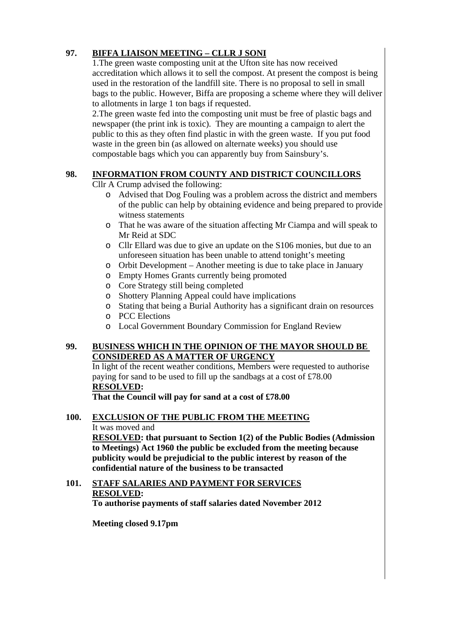# **97. BIFFA LIAISON MEETING – CLLR J SONI**

1.The green waste composting unit at the Ufton site has now received accreditation which allows it to sell the compost. At present the compost is being used in the restoration of the landfill site. There is no proposal to sell in small bags to the public. However, Biffa are proposing a scheme where they will deliver to allotments in large 1 ton bags if requested.

2.The green waste fed into the composting unit must be free of plastic bags and newspaper (the print ink is toxic). They are mounting a campaign to alert the public to this as they often find plastic in with the green waste. If you put food waste in the green bin (as allowed on alternate weeks) you should use compostable bags which you can apparently buy from Sainsbury's.

# **98. INFORMATION FROM COUNTY AND DISTRICT COUNCILLORS**

Cllr A Crump advised the following:

- o Advised that Dog Fouling was a problem across the district and members of the public can help by obtaining evidence and being prepared to provide witness statements
- o That he was aware of the situation affecting Mr Ciampa and will speak to Mr Reid at SDC
- o Cllr Ellard was due to give an update on the S106 monies, but due to an unforeseen situation has been unable to attend tonight's meeting
- o Orbit Development Another meeting is due to take place in January
- o Empty Homes Grants currently being promoted
- o Core Strategy still being completed
- o Shottery Planning Appeal could have implications
- o Stating that being a Burial Authority has a significant drain on resources
- o PCC Elections
- o Local Government Boundary Commission for England Review

# **99. BUSINESS WHICH IN THE OPINION OF THE MAYOR SHOULD BE CONSIDERED AS A MATTER OF URGENCY**

In light of the recent weather conditions, Members were requested to authorise paying for sand to be used to fill up the sandbags at a cost of £78.00 **RESOLVED:** 

**That the Council will pay for sand at a cost of £78.00** 

# **100. EXCLUSION OF THE PUBLIC FROM THE MEETING** It was moved and

**RESOLVED: that pursuant to Section 1(2) of the Public Bodies (Admission to Meetings) Act 1960 the public be excluded from the meeting because publicity would be prejudicial to the public interest by reason of the confidential nature of the business to be transacted** 

#### **101. STAFF SALARIES AND PAYMENT FOR SERVICES RESOLVED: To authorise payments of staff salaries dated November 2012**

**Meeting closed 9.17pm**